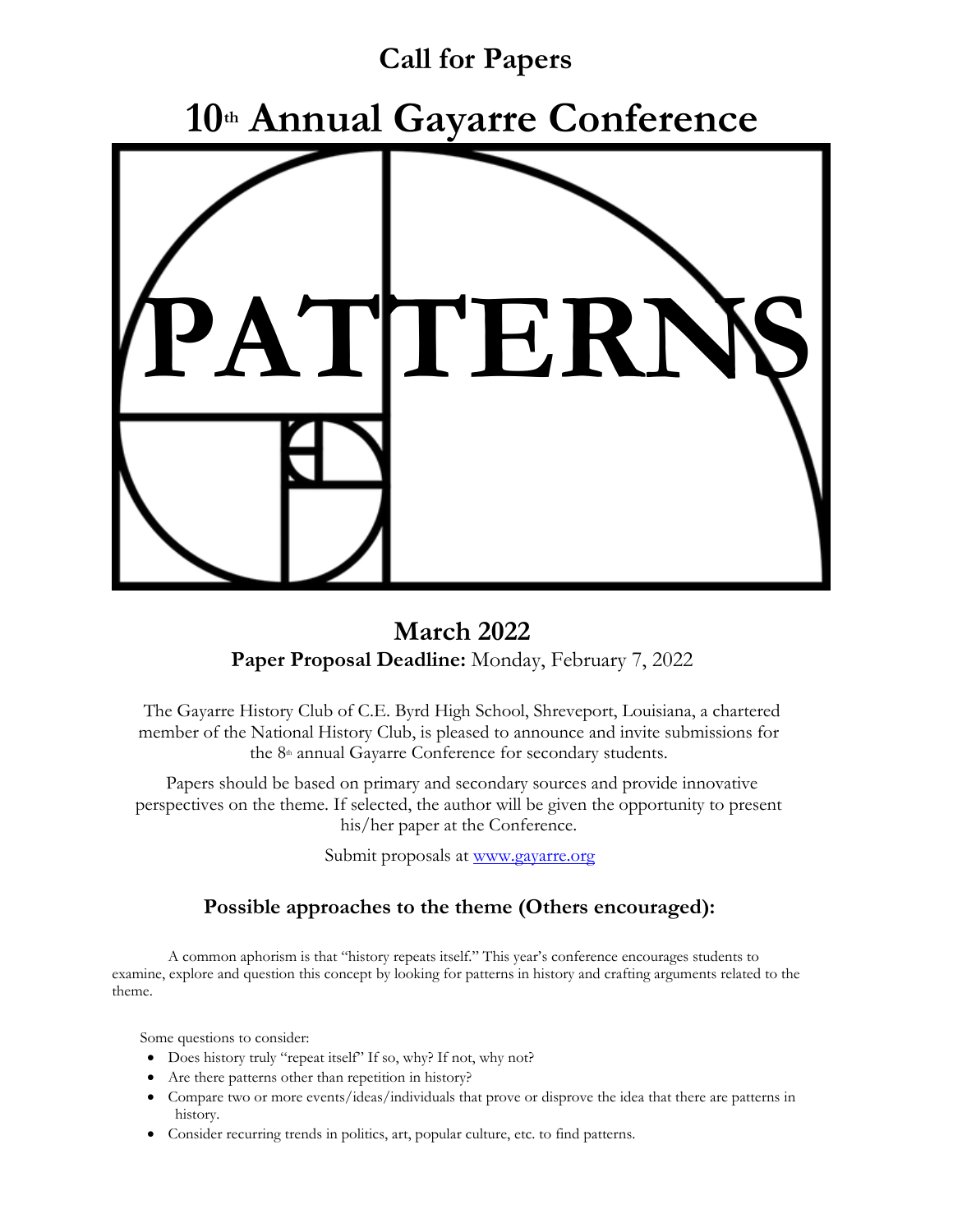### **Call for Papers**

**10th Annual Gayarre Conference**



### **March 2022 Paper Proposal Deadline:** Monday, February 7, 2022

The Gayarre History Club of C.E. Byrd High School, Shreveport, Louisiana, a chartered member of the National History Club, is pleased to announce and invite submissions for the 8<sup>th</sup> annual Gayarre Conference for secondary students.

Papers should be based on primary and secondary sources and provide innovative perspectives on the theme. If selected, the author will be given the opportunity to present his/her paper at the Conference.

Submit proposals at [www.gayarre.org](http://www.gayarre.org/)

#### **Possible approaches to the theme (Others encouraged):**

A common aphorism is that "history repeats itself." This year's conference encourages students to examine, explore and question this concept by looking for patterns in history and crafting arguments related to the theme.

Some questions to consider:

- Does history truly "repeat itself" If so, why? If not, why not?
- Are there patterns other than repetition in history?
- Compare two or more events/ideas/individuals that prove or disprove the idea that there are patterns in history.
- Consider recurring trends in politics, art, popular culture, etc. to find patterns.